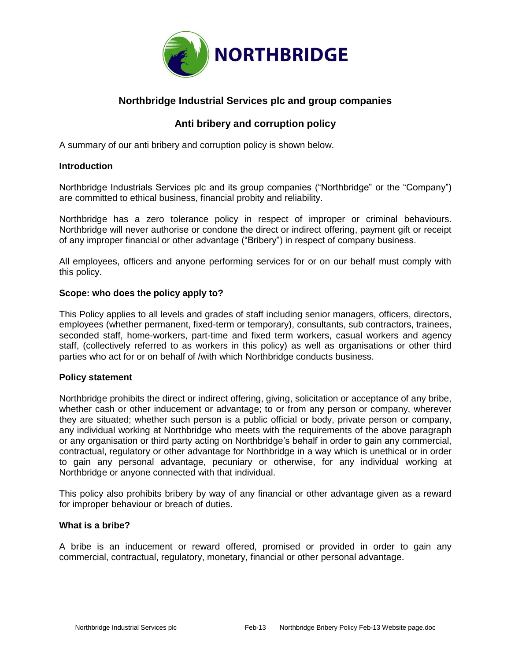

# **Northbridge Industrial Services plc and group companies**

# **Anti bribery and corruption policy**

A summary of our anti bribery and corruption policy is shown below.

## **Introduction**

Northbridge Industrials Services plc and its group companies ("Northbridge" or the "Company") are committed to ethical business, financial probity and reliability.

Northbridge has a zero tolerance policy in respect of improper or criminal behaviours. Northbridge will never authorise or condone the direct or indirect offering, payment gift or receipt of any improper financial or other advantage ("Bribery") in respect of company business.

All employees, officers and anyone performing services for or on our behalf must comply with this policy.

## **Scope: who does the policy apply to?**

This Policy applies to all levels and grades of staff including senior managers, officers, directors, employees (whether permanent, fixed-term or temporary), consultants, sub contractors, trainees, seconded staff, home-workers, part-time and fixed term workers, casual workers and agency staff, (collectively referred to as workers in this policy) as well as organisations or other third parties who act for or on behalf of /with which Northbridge conducts business.

## **Policy statement**

Northbridge prohibits the direct or indirect offering, giving, solicitation or acceptance of any bribe, whether cash or other inducement or advantage; to or from any person or company, wherever they are situated; whether such person is a public official or body, private person or company, any individual working at Northbridge who meets with the requirements of the above paragraph or any organisation or third party acting on Northbridge's behalf in order to gain any commercial, contractual, regulatory or other advantage for Northbridge in a way which is unethical or in order to gain any personal advantage, pecuniary or otherwise, for any individual working at Northbridge or anyone connected with that individual.

This policy also prohibits bribery by way of any financial or other advantage given as a reward for improper behaviour or breach of duties.

## **What is a bribe?**

A bribe is an inducement or reward offered, promised or provided in order to gain any commercial, contractual, regulatory, monetary, financial or other personal advantage.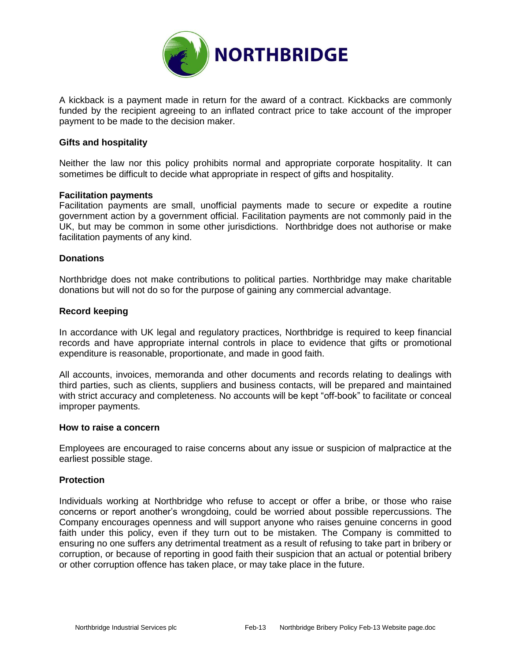

A kickback is a payment made in return for the award of a contract. Kickbacks are commonly funded by the recipient agreeing to an inflated contract price to take account of the improper payment to be made to the decision maker.

#### **Gifts and hospitality**

Neither the law nor this policy prohibits normal and appropriate corporate hospitality. It can sometimes be difficult to decide what appropriate in respect of gifts and hospitality.

#### **Facilitation payments**

Facilitation payments are small, unofficial payments made to secure or expedite a routine government action by a government official. Facilitation payments are not commonly paid in the UK, but may be common in some other jurisdictions. Northbridge does not authorise or make facilitation payments of any kind.

#### **Donations**

Northbridge does not make contributions to political parties. Northbridge may make charitable donations but will not do so for the purpose of gaining any commercial advantage.

#### **Record keeping**

In accordance with UK legal and regulatory practices, Northbridge is required to keep financial records and have appropriate internal controls in place to evidence that gifts or promotional expenditure is reasonable, proportionate, and made in good faith.

All accounts, invoices, memoranda and other documents and records relating to dealings with third parties, such as clients, suppliers and business contacts, will be prepared and maintained with strict accuracy and completeness. No accounts will be kept "off-book" to facilitate or conceal improper payments.

#### **How to raise a concern**

Employees are encouraged to raise concerns about any issue or suspicion of malpractice at the earliest possible stage.

## **Protection**

Individuals working at Northbridge who refuse to accept or offer a bribe, or those who raise concerns or report another's wrongdoing, could be worried about possible repercussions. The Company encourages openness and will support anyone who raises genuine concerns in good faith under this policy, even if they turn out to be mistaken. The Company is committed to ensuring no one suffers any detrimental treatment as a result of refusing to take part in bribery or corruption, or because of reporting in good faith their suspicion that an actual or potential bribery or other corruption offence has taken place, or may take place in the future.